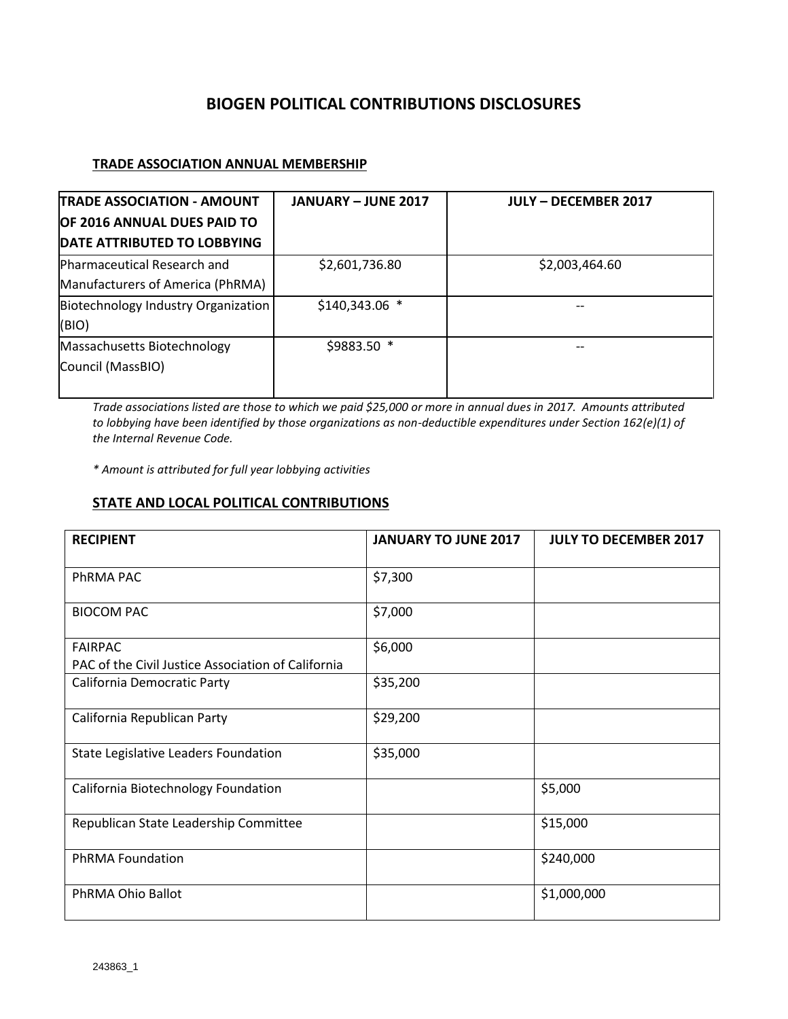# **BIOGEN POLITICAL CONTRIBUTIONS DISCLOSURES**

## **TRADE ASSOCIATION ANNUAL MEMBERSHIP**

| <b>TRADE ASSOCIATION - AMOUNT</b>   | <b>JANUARY - JUNE 2017</b> | <b>JULY - DECEMBER 2017</b> |
|-------------------------------------|----------------------------|-----------------------------|
| OF 2016 ANNUAL DUES PAID TO         |                            |                             |
| DATE ATTRIBUTED TO LOBBYING         |                            |                             |
| <b>Pharmaceutical Research and</b>  | \$2,601,736.80             | \$2,003,464.60              |
| Manufacturers of America (PhRMA)    |                            |                             |
| Biotechnology Industry Organization | \$140,343.06 *             |                             |
| (BIO)                               |                            |                             |
| Massachusetts Biotechnology         | \$9883.50 *                |                             |
| Council (MassBIO)                   |                            |                             |
|                                     |                            |                             |

*Trade associations listed are those to which we paid \$25,000 or more in annual dues in 2017. Amounts attributed to lobbying have been identified by those organizations as non-deductible expenditures under Section 162(e)(1) of the Internal Revenue Code.*

*\* Amount is attributed for full year lobbying activities*

### **STATE AND LOCAL POLITICAL CONTRIBUTIONS**

| <b>RECIPIENT</b>                                                     | <b>JANUARY TO JUNE 2017</b> | <b>JULY TO DECEMBER 2017</b> |
|----------------------------------------------------------------------|-----------------------------|------------------------------|
| PhRMA PAC                                                            | \$7,300                     |                              |
| <b>BIOCOM PAC</b>                                                    | \$7,000                     |                              |
| <b>FAIRPAC</b><br>PAC of the Civil Justice Association of California | \$6,000                     |                              |
| California Democratic Party                                          | \$35,200                    |                              |
| California Republican Party                                          | \$29,200                    |                              |
| State Legislative Leaders Foundation                                 | \$35,000                    |                              |
| California Biotechnology Foundation                                  |                             | \$5,000                      |
| Republican State Leadership Committee                                |                             | \$15,000                     |
| <b>PhRMA Foundation</b>                                              |                             | \$240,000                    |
| PhRMA Ohio Ballot                                                    |                             | \$1,000,000                  |